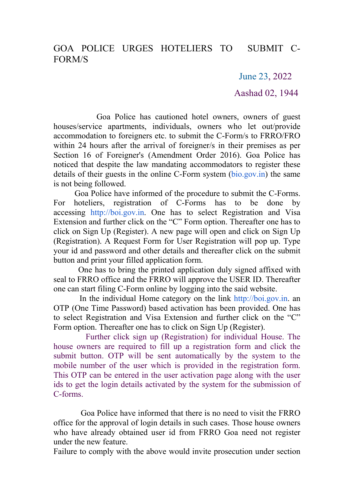June 23, 2022

Aashad 02, 1944

Goa Police has cautioned hotel owners, owners of guest houses/service apartments, individuals, owners who let out/provide accommodation to foreigners etc. to submit the C-Form/s to FRRO/FRO within 24 hours after the arrival of foreigner/s in their premises as per Section 16 of Foreigner's (Amendment Order 2016). Goa Police has noticed that despite the law mandating accommodators to register these details of their guests in the online C-Form system [\(bio.gov.in\)](http://bio.gov.in/) the same is not being followed.

Goa Police have informed of the procedure to submit the C-Forms. For hoteliers, registration of C-Forms has to be done by accessing [http://boi.gov.in](http://boi.gov.in/). One has to select Registration and Visa Extension and further click on the "C" Form option. Thereafter one has to click on Sign Up (Register). A new page will open and click on Sign Up (Registration). A Request Form for User Registration will pop up. Type your id and password and other details and thereafter click on the submit button and print your filled application form.

One has to bring the printed application duly signed affixed with seal to FRRO office and the FRRO will approve the USER ID. Thereafter one can start filing C-Form online by logging into the said website.

In the individual Home category on the link [http://boi.gov.in.](http://boi.gov.in/) an OTP (One Time Password) based activation has been provided. One has to select Registration and Visa Extension and further click on the "C" Form option. Thereafter one has to click on Sign Up (Register).

Further click sign up (Registration) for individual House. The house owners are required to fill up a registration form and click the submit button. OTP will be sent automatically by the system to the mobile number of the user which is provided in the registration form. This OTP can be entered in the user activation page along with the user ids to get the login details activated by the system for the submission of C-forms.<br>Goa Police have informed that there is no need to visit the FRRO

office for the approval of login details in such cases.Those house owners who have already obtained user id from FRRO Goa need not register under the new feature.

Failure to comply with the above would invite prosecution under section